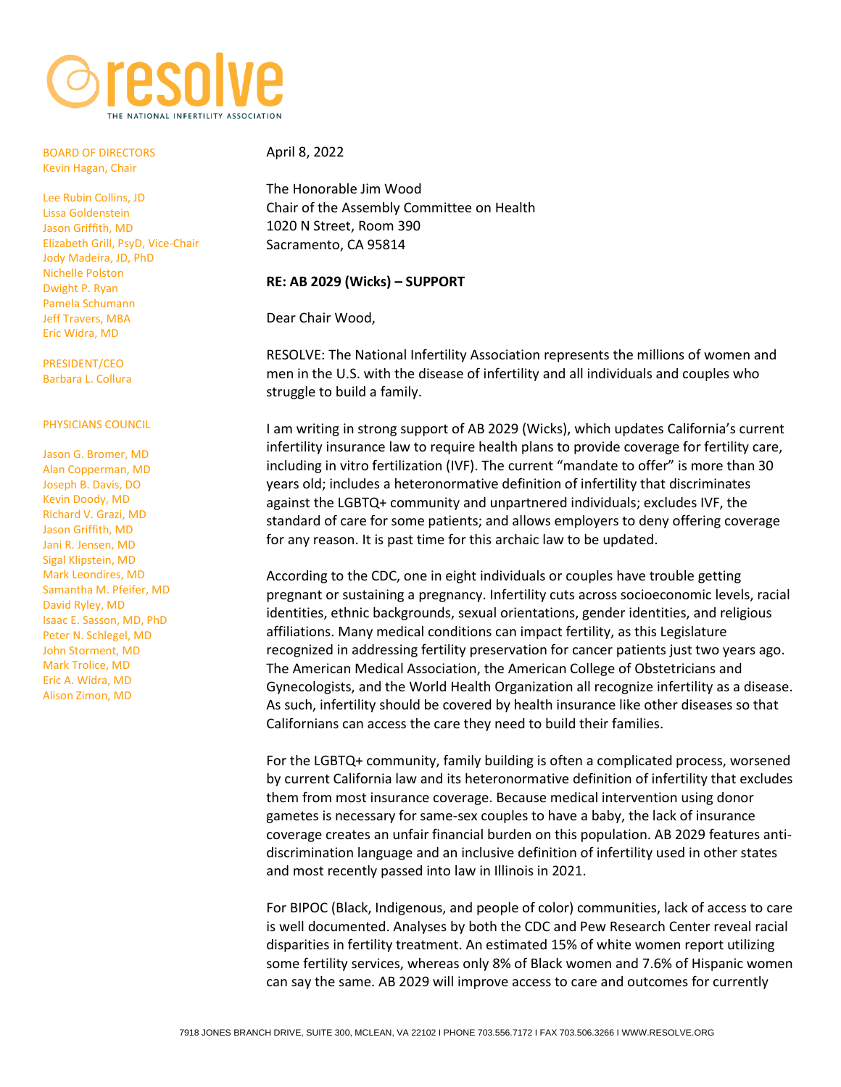

BOARD OF DIRECTORS Kevin Hagan, Chair

Lee Rubin Collins, JD Lissa Goldenstein Jason Griffith, MD Elizabeth Grill, PsyD, Vice-Chair Jody Madeira, JD, PhD Nichelle Polston Dwight P. Ryan Pamela Schumann Jeff Travers, MBA Eric Widra, MD

PRESIDENT/CEO Barbara L. Collura

## PHYSICIANS COUNCIL

[Jason G. Bromer, MD](https://www.shadygrovefertility.com/doctors/bromer) [Alan Copperman, MD](https://rmany.com/our-practice/team-of-physicians/dr-alan-copperman/) Joseph B. Davis, DO [Kevin Doody, MD](http://www.embryo.net/fertility-center/fertility-doctors) [Richard V. Grazi, MD](https://www.genesisfertility.com/team_member/richard-v-grazi-md-facog-facs/) [Jason Griffith, MD](http://www.hfi-ivf.com/meet-your-team/doctors/jason-griffith/) Jani R. Jensen, MD Sigal Klipstein, MD Mark Leondires, MD [Samantha M. Pfeifer, MD](http://ivf.org/about-crm/physicians/samantha-pfeifer/) David Ryley, MD [Isaac E. Sasson, MD, PhD](https://www.shadygrovefertility.com/doctors/sasson) [Peter N. Schlegel, MD](https://weillcornell.org/pnschleg) John Storment, MD Mark Trolice, MD [Eric A. Widra, MD](https://www.shadygrovefertility.com/doctors/widra) Alison Zimon, MD

## April 8, 2022

The Honorable Jim Wood Chair of the Assembly Committee on Health 1020 N Street, Room 390 Sacramento, CA 95814

## **RE: AB 2029 (Wicks) – SUPPORT**

Dear Chair Wood,

RESOLVE: The National Infertility Association represents the millions of women and men in the U.S. with the disease of infertility and all individuals and couples who struggle to build a family.

I am writing in strong support of AB 2029 (Wicks), which updates California's current infertility insurance law to require health plans to provide coverage for fertility care, including in vitro fertilization (IVF). The current "mandate to offer" is more than 30 years old; includes a heteronormative definition of infertility that discriminates against the LGBTQ+ community and unpartnered individuals; excludes IVF, the standard of care for some patients; and allows employers to deny offering coverage for any reason. It is past time for this archaic law to be updated.

According to the CDC, one in eight individuals or couples have trouble getting pregnant or sustaining a pregnancy. Infertility cuts across socioeconomic levels, racial identities, ethnic backgrounds, sexual orientations, gender identities, and religious affiliations. Many medical conditions can impact fertility, as this Legislature recognized in addressing fertility preservation for cancer patients just two years ago. The American Medical Association, the American College of Obstetricians and Gynecologists, and the World Health Organization all recognize infertility as a disease. As such, infertility should be covered by health insurance like other diseases so that Californians can access the care they need to build their families.

For the LGBTQ+ community, family building is often a complicated process, worsened by current California law and its heteronormative definition of infertility that excludes them from most insurance coverage. Because medical intervention using donor gametes is necessary for same-sex couples to have a baby, the lack of insurance coverage creates an unfair financial burden on this population. AB 2029 features antidiscrimination language and an inclusive definition of infertility used in other states and most recently passed into law in Illinois in 2021.

For BIPOC (Black, Indigenous, and people of color) communities, lack of access to care is well documented. Analyses by both the CDC and Pew Research Center reveal racial disparities in fertility treatment. An estimated 15% of white women report utilizing some fertility services, whereas only 8% of Black women and 7.6% of Hispanic women can say the same. AB 2029 will improve access to care and outcomes for currently